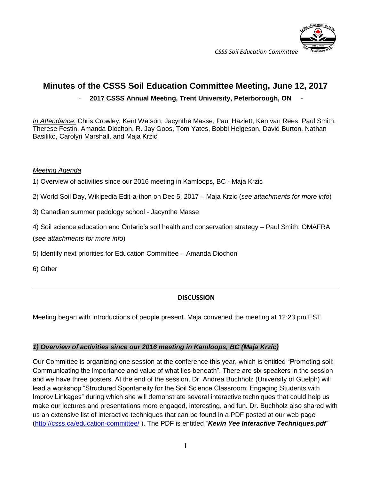

# **Minutes of the CSSS Soil Education Committee Meeting, June 12, 2017**

## - **2017 CSSS Annual Meeting, Trent University, Peterborough, ON** -

*In Attendance*: Chris Crowley, Kent Watson, Jacynthe Masse, Paul Hazlett, Ken van Rees, Paul Smith, Therese Festin, Amanda Diochon, R. Jay Goos, Tom Yates, Bobbi Helgeson, David Burton, Nathan Basiliko, Carolyn Marshall, and Maja Krzic

#### *Meeting Agenda*

1) Overview of activities since our 2016 meeting in Kamloops, BC - Maja Krzic

2) World Soil Day, Wikipedia Edit-a-thon on Dec 5, 2017 – Maja Krzic (*see attachments for more info*)

- 3) Canadian summer pedology school Jacynthe Masse
- 4) Soil science education and Ontario's soil health and conservation strategy Paul Smith, OMAFRA

(*see attachments for more info*)

- 5) Identify next priorities for Education Committee Amanda Diochon
- 6) Other

#### **DISCUSSION**

Meeting began with introductions of people present. Maja convened the meeting at 12:23 pm EST.

#### *1) Overview of activities since our 2016 meeting in Kamloops, BC (Maja Krzic)*

Our Committee is organizing one session at the conference this year, which is entitled "Promoting soil: Communicating the importance and value of what lies beneath". There are six speakers in the session and we have three posters. At the end of the session, Dr. Andrea Buchholz (University of Guelph) will lead a workshop "Structured Spontaneity for the Soil Science Classroom: Engaging Students with Improv Linkages" during which she will demonstrate several interactive techniques that could help us make our lectures and presentations more engaged, interesting, and fun. Dr. Buchholz also shared with us an extensive list of interactive techniques that can be found in a PDF posted at our web page [\(http://csss.ca/education-committee/](http://csss.ca/education-committee/) ). The PDF is entitled "*Kevin Yee Interactive Techniques.pdf*"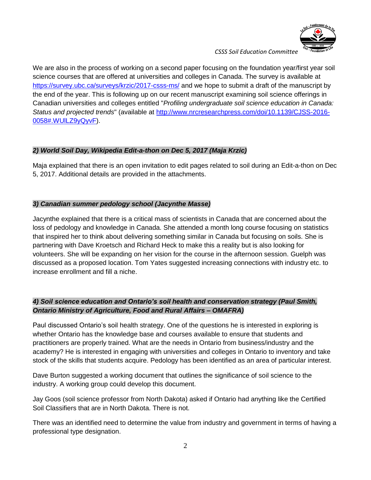

We are also in the process of working on a second paper focusing on the foundation year/first year soil science courses that are offered at universities and colleges in Canada. The survey is available at <https://survey.ubc.ca/surveys/krzic/2017-csss-ms/> and we hope to submit a draft of the manuscript by the end of the year. This is following up on our recent manuscript examining soil science offerings in Canadian universities and colleges entitled "*Profiling undergraduate soil science education in Canada: Status and projected trends*" (available at [http://www.nrcresearchpress.com/doi/10.1139/CJSS-2016-](http://www.nrcresearchpress.com/doi/10.1139/CJSS-2016-0058#.WUlLZ9yQyvF) [0058#.WUlLZ9yQyvF\)](http://www.nrcresearchpress.com/doi/10.1139/CJSS-2016-0058#.WUlLZ9yQyvF).

## *2) World Soil Day, Wikipedia Edit-a-thon on Dec 5, 2017 (Maja Krzic)*

Maja explained that there is an open invitation to edit pages related to soil during an Edit-a-thon on Dec 5, 2017. Additional details are provided in the attachments.

## *3) Canadian summer pedology school (Jacynthe Masse)*

Jacynthe explained that there is a critical mass of scientists in Canada that are concerned about the loss of pedology and knowledge in Canada. She attended a month long course focusing on statistics that inspired her to think about delivering something similar in Canada but focusing on soils. She is partnering with Dave Kroetsch and Richard Heck to make this a reality but is also looking for volunteers. She will be expanding on her vision for the course in the afternoon session. Guelph was discussed as a proposed location. Tom Yates suggested increasing connections with industry etc. to increase enrollment and fill a niche.

# *4) Soil science education and Ontario's soil health and conservation strategy (Paul Smith, Ontario Ministry of Agriculture, Food and Rural Affairs – OMAFRA)*

Paul discussed Ontario's soil health strategy. One of the questions he is interested in exploring is whether Ontario has the knowledge base and courses available to ensure that students and practitioners are properly trained. What are the needs in Ontario from business/industry and the academy? He is interested in engaging with universities and colleges in Ontario to inventory and take stock of the skills that students acquire. Pedology has been identified as an area of particular interest.

Dave Burton suggested a working document that outlines the significance of soil science to the industry. A working group could develop this document.

Jay Goos (soil science professor from North Dakota) asked if Ontario had anything like the Certified Soil Classifiers that are in North Dakota. There is not.

There was an identified need to determine the value from industry and government in terms of having a professional type designation.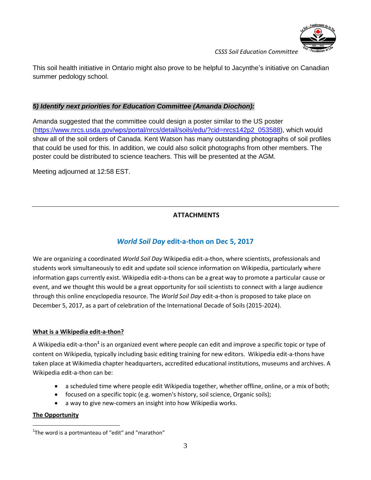

This soil health initiative in Ontario might also prove to be helpful to Jacynthe's initiative on Canadian summer pedology school.

## *5) Identify next priorities for Education Committee (Amanda Diochon):*

Amanda suggested that the committee could design a poster similar to the US poster [\(https://www.nrcs.usda.gov/wps/portal/nrcs/detail/soils/edu/?cid=nrcs142p2\\_053588\)](https://www.nrcs.usda.gov/wps/portal/nrcs/detail/soils/edu/?cid=nrcs142p2_053588), which would show all of the soil orders of Canada. Kent Watson has many outstanding photographs of soil profiles that could be used for this. In addition, we could also solicit photographs from other members. The poster could be distributed to science teachers. This will be presented at the AGM.

Meeting adjourned at 12:58 EST.

# **ATTACHMENTS**

# *World Soil Day* **edit-a-thon on Dec 5, 2017**

We are organizing a coordinated *World Soil Day* Wikipedia edit-a-thon, where scientists, professionals and students work simultaneously to edit and update soil science information on Wikipedia, particularly where information gaps currently exist. Wikipedia edit-a-thons can be a great way to promote a particular cause or event, and we thought this would be a great opportunity for soil scientists to connect with a large audience through this online encyclopedia resource. The *World Soil Day* edit-a-thon is proposed to take place on December 5, 2017, as a part of celebration of the International Decade of Soils (2015-2024).

#### **What is a Wikipedia edit-a-thon?**

A Wikipedia edit-a-thon<sup>1</sup> is an organized event where people can edit and improve a specific topic or type of content on Wikipedia, typically including basic editing training for new editors. Wikipedia edit-a-thons have taken place at [Wikimedia chapter](https://en.wikipedia.org/wiki/Wikimedia_chapter) headquarters, accredited educational institutions, museums and archives. A Wikipedia edit-a-thon can be:

- a scheduled time where people edit Wikipedia together, whether offline, online, or a mix of both;
- focused on a specific topic (e.g. women's history, soil science, Organic soils);
- a way to give new-comers an insight into how Wikipedia works.

#### **The Opportunity**

 $\overline{a}$ 

 $1$ The word is [a portmanteau](https://en.wikipedia.org/wiki/Portmanteau) of "edit" and "marathon"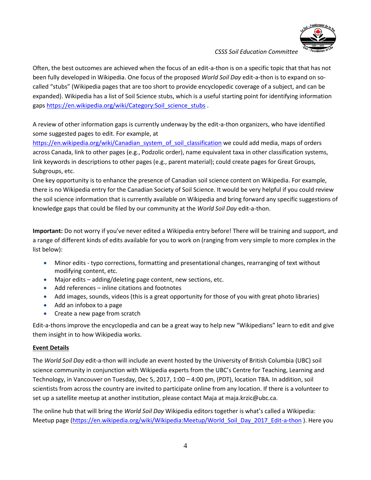

Often, the best outcomes are achieved when the focus of an edit-a-thon is on a specific topic that that has not been fully developed in Wikipedia. One focus of the proposed *World Soil Day* edit-a-thon is to expand on socalled "stubs" (Wikipedia pages that are too short to provide encyclopedic coverage of a subject, and can be expanded). Wikipedia has a list of Soil Science stubs, which is a useful starting point for identifying information gaps [https://en.wikipedia.org/wiki/Category:Soil\\_science\\_stubs](https://en.wikipedia.org/wiki/Category:Soil_science_stubs) .

A review of other information gaps is currently underway by the edit-a-thon organizers, who have identified some suggested pages to edit. For example, at

[https://en.wikipedia.org/wiki/Canadian\\_system\\_of\\_soil\\_classification](https://en.wikipedia.org/wiki/Canadian_system_of_soil_classification) we could add media, maps of orders across Canada, link to other pages (e.g., Podzolic order), name equivalent taxa in other classification systems, link keywords in descriptions to other pages (e.g., parent material); could create pages for Great Groups, Subgroups, etc.

One key opportunity is to enhance the presence of Canadian soil science content on Wikipedia. For example, there is no Wikipedia entry for the Canadian Society of Soil Science. It would be very helpful if you could review the soil science information that is currently available on Wikipedia and bring forward any specific suggestions of knowledge gaps that could be filed by our community at the *World Soil Day* edit-a-thon.

**Important:** Do not worry if you've never edited a Wikipedia entry before! There will be training and support, and a range of different kinds of edits available for you to work on (ranging from very simple to more complex in the list below):

- Minor edits typo corrections, formatting and presentational changes, rearranging of text without modifying content, etc.
- Major edits adding/deleting page content, new sections, etc.
- Add references inline citations and footnotes
- Add images, sounds, videos (this is a great opportunity for those of you with great photo libraries)
- Add an infobox to a page
- Create a new page from scratch

Edit-a-thons improve the encyclopedia and can be a great way to help new "Wikipedians" learn to edit and give them insight in to how Wikipedia works.

#### **Event Details**

The *World Soil Day* edit-a-thon will include an event hosted by the University of British Columbia (UBC) soil science community in conjunction with Wikipedia experts from the UBC's Centre for Teaching, Learning and Technology, in Vancouver on Tuesday, Dec 5, 2017, 1:00 – 4:00 pm, (PDT), location TBA. In addition, soil scientists from across the country are invited to participate online from any location. If there is a volunteer to set up a satellite meetup at another institution, please contact Maja at maja.krzic@ubc.ca.

The online hub that will bring the *World Soil Day* Wikipedia editors together is what's called a Wikipedia: Meetup page [\(https://en.wikipedia.org/wiki/Wikipedia:Meetup/World\\_Soil\\_Day\\_2017\\_Edit-a-thon](https://en.wikipedia.org/wiki/Wikipedia:Meetup/World_Soil_Day_2017_Edit-a-thon) ). Here you